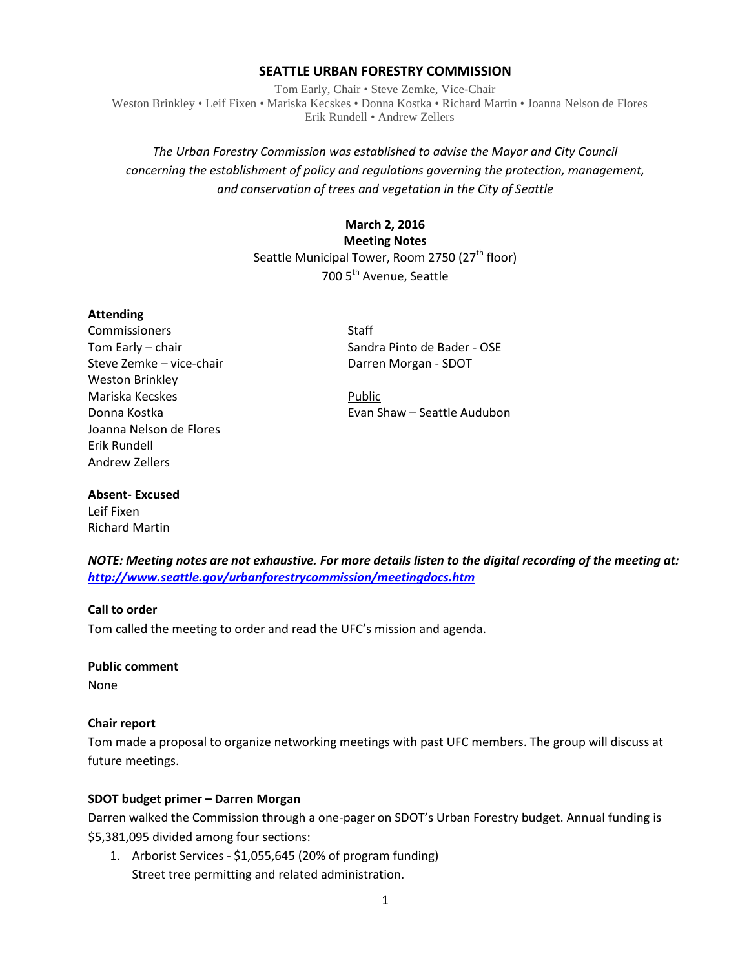#### **SEATTLE URBAN FORESTRY COMMISSION**

Tom Early, Chair • Steve Zemke, Vice-Chair Weston Brinkley • Leif Fixen • Mariska Kecskes • Donna Kostka • Richard Martin • Joanna Nelson de Flores Erik Rundell • Andrew Zellers

## *The Urban Forestry Commission was established to advise the Mayor and City Council concerning the establishment of policy and regulations governing the protection, management, and conservation of trees and vegetation in the City of Seattle*

### **March 2, 2016**

**Meeting Notes** Seattle Municipal Tower, Room 2750 (27<sup>th</sup> floor) 700 5<sup>th</sup> Avenue, Seattle

#### **Attending**

Commissioners Staff Steve Zemke – vice-chair Darren Morgan - SDOT Weston Brinkley Mariska Kecskes **Public** Public Joanna Nelson de Flores Erik Rundell Andrew Zellers

Tom Early – chair Sandra Pinto de Bader - OSE

Donna Kostka Evan Shaw – Seattle Audubon

# **Absent- Excused**

Leif Fixen Richard Martin

*NOTE: Meeting notes are not exhaustive. For more details listen to the digital recording of the meeting at: <http://www.seattle.gov/urbanforestrycommission/meetingdocs.htm>*

#### **Call to order**

Tom called the meeting to order and read the UFC's mission and agenda.

#### **Public comment**

None

#### **Chair report**

Tom made a proposal to organize networking meetings with past UFC members. The group will discuss at future meetings.

#### **SDOT budget primer – Darren Morgan**

Darren walked the Commission through a one-pager on SDOT's Urban Forestry budget. Annual funding is \$5,381,095 divided among four sections:

1. Arborist Services - \$1,055,645 (20% of program funding) Street tree permitting and related administration.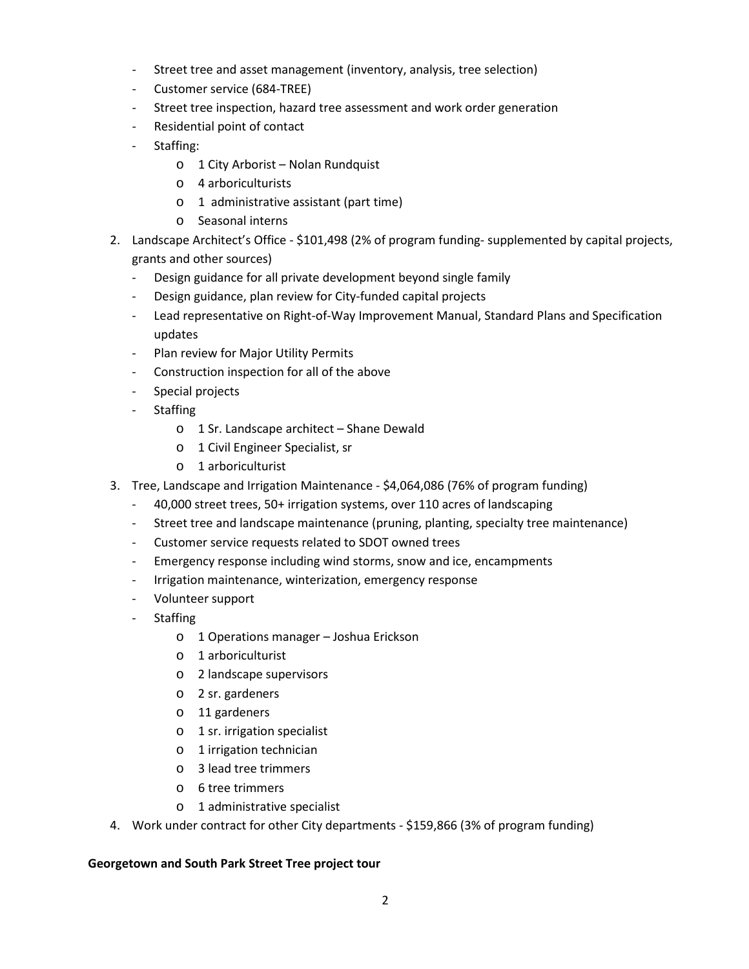- Street tree and asset management (inventory, analysis, tree selection)
- Customer service (684-TREE)
- Street tree inspection, hazard tree assessment and work order generation
- Residential point of contact
- Staffing:
	- o 1 City Arborist Nolan Rundquist
	- o 4 arboriculturists
	- o 1 administrative assistant (part time)
	- o Seasonal interns
- 2. Landscape Architect's Office \$101,498 (2% of program funding- supplemented by capital projects, grants and other sources)
	- Design guidance for all private development beyond single family
	- Design guidance, plan review for City-funded capital projects
	- Lead representative on Right-of-Way Improvement Manual, Standard Plans and Specification updates
	- Plan review for Major Utility Permits
	- Construction inspection for all of the above
	- Special projects
	- Staffing
		- o 1 Sr. Landscape architect Shane Dewald
		- o 1 Civil Engineer Specialist, sr
		- o 1 arboriculturist
- 3. Tree, Landscape and Irrigation Maintenance \$4,064,086 (76% of program funding)
	- 40,000 street trees, 50+ irrigation systems, over 110 acres of landscaping
	- Street tree and landscape maintenance (pruning, planting, specialty tree maintenance)
	- Customer service requests related to SDOT owned trees
	- Emergency response including wind storms, snow and ice, encampments
	- Irrigation maintenance, winterization, emergency response
	- Volunteer support
	- **Staffing** 
		- o 1 Operations manager Joshua Erickson
		- o 1 arboriculturist
		- o 2 landscape supervisors
		- o 2 sr. gardeners
		- o 11 gardeners
		- o 1 sr. irrigation specialist
		- o 1 irrigation technician
		- o 3 lead tree trimmers
		- o 6 tree trimmers
		- o 1 administrative specialist
- 4. Work under contract for other City departments \$159,866 (3% of program funding)

#### **Georgetown and South Park Street Tree project tour**